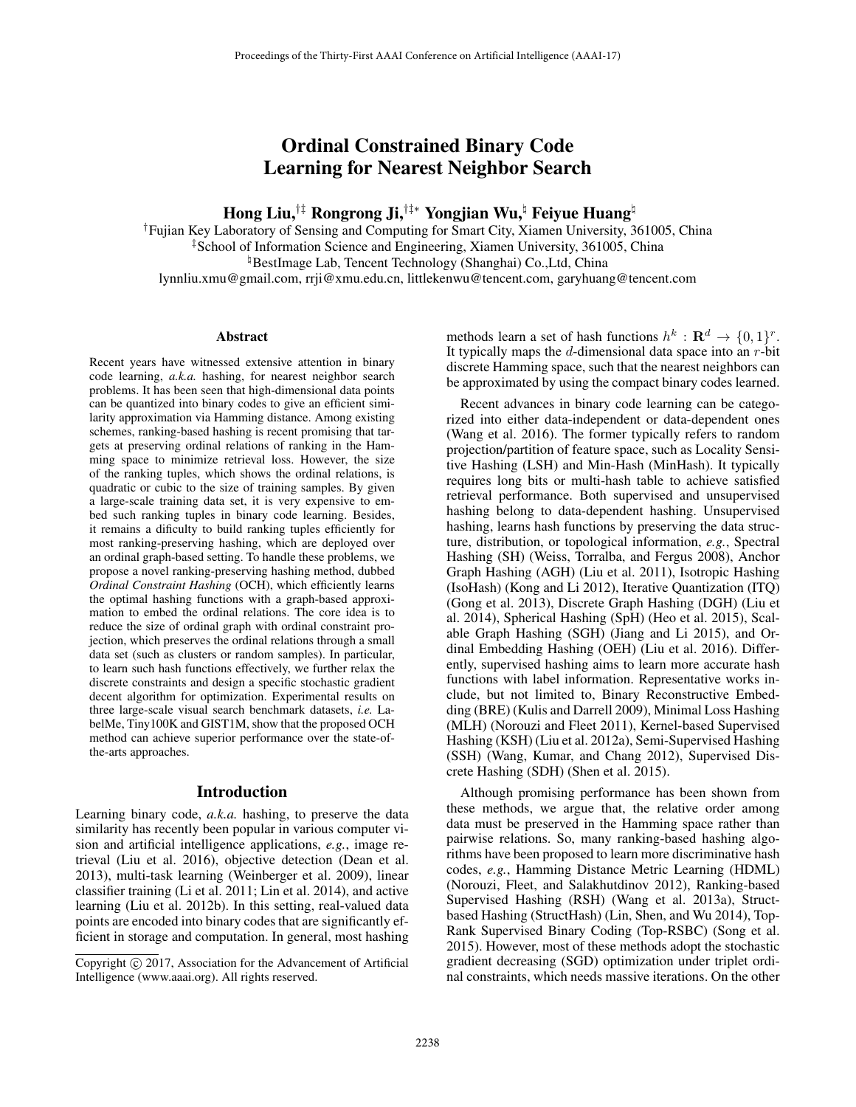# Ordinal Constrained Binary Code Learning for Nearest Neighbor Search

Hong Liu,<sup>†‡</sup> Rongrong Ji,<sup>†‡</sup>\* Yongjian Wu,<sup>ț</sup> Feiyue Huang<sup>ț</sup>

†Fujian Key Laboratory of Sensing and Computing for Smart City, Xiamen University, 361005, China ‡School of Information Science and Engineering, Xiamen University, 361005, China -BestImage Lab, Tencent Technology (Shanghai) Co.,Ltd, China lynnliu.xmu@gmail.com, rrji@xmu.edu.cn, littlekenwu@tencent.com, garyhuang@tencent.com

#### Abstract

Recent years have witnessed extensive attention in binary code learning, *a.k.a.* hashing, for nearest neighbor search problems. It has been seen that high-dimensional data points can be quantized into binary codes to give an efficient similarity approximation via Hamming distance. Among existing schemes, ranking-based hashing is recent promising that targets at preserving ordinal relations of ranking in the Hamming space to minimize retrieval loss. However, the size of the ranking tuples, which shows the ordinal relations, is quadratic or cubic to the size of training samples. By given a large-scale training data set, it is very expensive to embed such ranking tuples in binary code learning. Besides, it remains a dificulty to build ranking tuples efficiently for most ranking-preserving hashing, which are deployed over an ordinal graph-based setting. To handle these problems, we propose a novel ranking-preserving hashing method, dubbed *Ordinal Constraint Hashing* (OCH), which efficiently learns the optimal hashing functions with a graph-based approximation to embed the ordinal relations. The core idea is to reduce the size of ordinal graph with ordinal constraint projection, which preserves the ordinal relations through a small data set (such as clusters or random samples). In particular, to learn such hash functions effectively, we further relax the discrete constraints and design a specific stochastic gradient decent algorithm for optimization. Experimental results on three large-scale visual search benchmark datasets, *i.e.* LabelMe, Tiny100K and GIST1M, show that the proposed OCH method can achieve superior performance over the state-ofthe-arts approaches.

#### Introduction

Learning binary code, *a.k.a.* hashing, to preserve the data similarity has recently been popular in various computer vision and artificial intelligence applications, *e.g.*, image retrieval (Liu et al. 2016), objective detection (Dean et al. 2013), multi-task learning (Weinberger et al. 2009), linear classifier training (Li et al. 2011; Lin et al. 2014), and active learning (Liu et al. 2012b). In this setting, real-valued data points are encoded into binary codes that are significantly efficient in storage and computation. In general, most hashing

methods learn a set of hash functions  $h^k : \mathbf{R}^d \to \{0, 1\}^r$ . It typically maps the  $d$ -dimensional data space into an  $r$ -bit discrete Hamming space, such that the nearest neighbors can be approximated by using the compact binary codes learned.

Recent advances in binary code learning can be categorized into either data-independent or data-dependent ones (Wang et al. 2016). The former typically refers to random projection/partition of feature space, such as Locality Sensitive Hashing (LSH) and Min-Hash (MinHash). It typically requires long bits or multi-hash table to achieve satisfied retrieval performance. Both supervised and unsupervised hashing belong to data-dependent hashing. Unsupervised hashing, learns hash functions by preserving the data structure, distribution, or topological information, *e.g.*, Spectral Hashing (SH) (Weiss, Torralba, and Fergus 2008), Anchor Graph Hashing (AGH) (Liu et al. 2011), Isotropic Hashing (IsoHash) (Kong and Li 2012), Iterative Quantization (ITQ) (Gong et al. 2013), Discrete Graph Hashing (DGH) (Liu et al. 2014), Spherical Hashing (SpH) (Heo et al. 2015), Scalable Graph Hashing (SGH) (Jiang and Li 2015), and Ordinal Embedding Hashing (OEH) (Liu et al. 2016). Differently, supervised hashing aims to learn more accurate hash functions with label information. Representative works include, but not limited to, Binary Reconstructive Embedding (BRE) (Kulis and Darrell 2009), Minimal Loss Hashing (MLH) (Norouzi and Fleet 2011), Kernel-based Supervised Hashing (KSH) (Liu et al. 2012a), Semi-Supervised Hashing (SSH) (Wang, Kumar, and Chang 2012), Supervised Discrete Hashing (SDH) (Shen et al. 2015).

Although promising performance has been shown from these methods, we argue that, the relative order among data must be preserved in the Hamming space rather than pairwise relations. So, many ranking-based hashing algorithms have been proposed to learn more discriminative hash codes, *e.g.*, Hamming Distance Metric Learning (HDML) (Norouzi, Fleet, and Salakhutdinov 2012), Ranking-based Supervised Hashing (RSH) (Wang et al. 2013a), Structbased Hashing (StructHash) (Lin, Shen, and Wu 2014), Top-Rank Supervised Binary Coding (Top-RSBC) (Song et al. 2015). However, most of these methods adopt the stochastic gradient decreasing (SGD) optimization under triplet ordinal constraints, which needs massive iterations. On the other

Copyright  $\odot$  2017, Association for the Advancement of Artificial Intelligence (www.aaai.org). All rights reserved.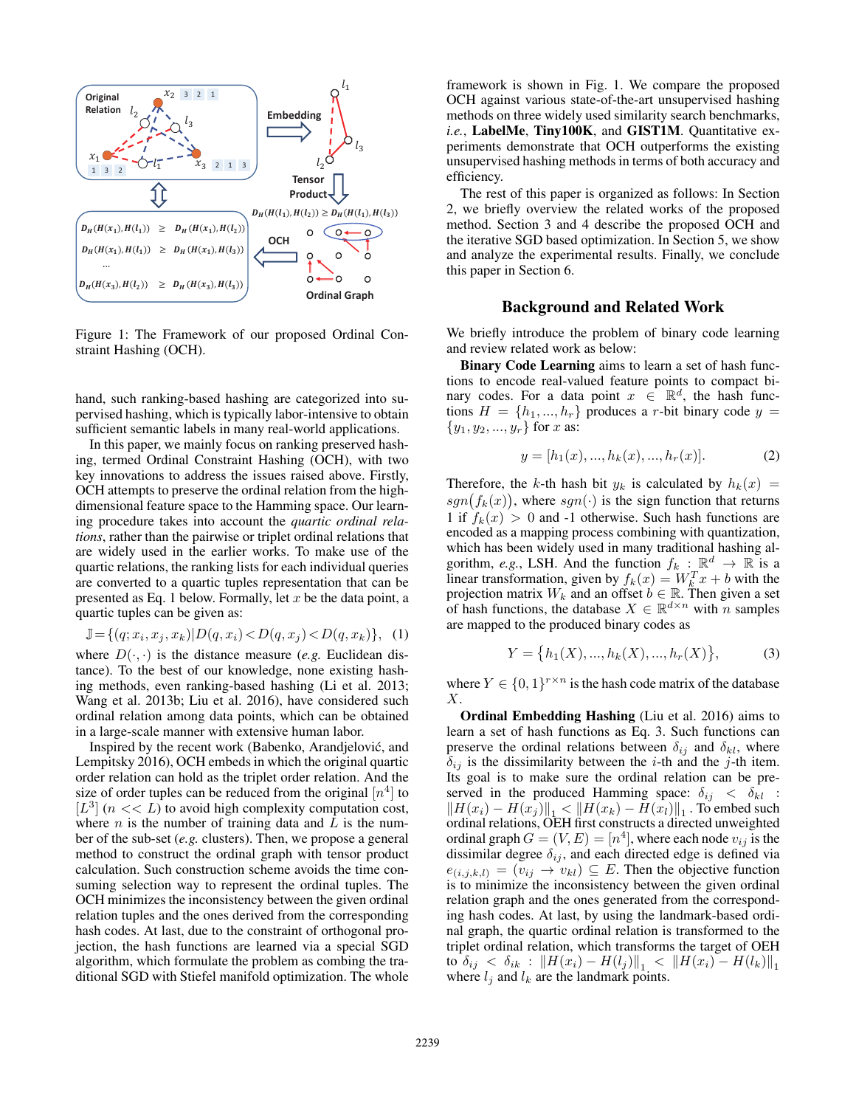

Figure 1: The Framework of our proposed Ordinal Constraint Hashing (OCH).

hand, such ranking-based hashing are categorized into supervised hashing, which is typically labor-intensive to obtain sufficient semantic labels in many real-world applications.

In this paper, we mainly focus on ranking preserved hashing, termed Ordinal Constraint Hashing (OCH), with two key innovations to address the issues raised above. Firstly, OCH attempts to preserve the ordinal relation from the highdimensional feature space to the Hamming space. Our learning procedure takes into account the *quartic ordinal relations*, rather than the pairwise or triplet ordinal relations that are widely used in the earlier works. To make use of the quartic relations, the ranking lists for each individual queries are converted to a quartic tuples representation that can be presented as Eq. 1 below. Formally, let  $x$  be the data point, a quartic tuples can be given as:

$$
\mathbb{J} = \{(q; x_i, x_j, x_k) | D(q, x_i) < D(q, x_j) < D(q, x_k) \}, \tag{1}
$$

where  $D(\cdot, \cdot)$  is the distance measure (*e.g.* Euclidean distance). To the best of our knowledge, none existing hashing methods, even ranking-based hashing (Li et al. 2013; Wang et al. 2013b; Liu et al. 2016), have considered such ordinal relation among data points, which can be obtained in a large-scale manner with extensive human labor.

Inspired by the recent work (Babenko, Arandjelovic, and ´ Lempitsky 2016), OCH embeds in which the original quartic order relation can hold as the triplet order relation. And the size of order tuples can be reduced from the original  $[n<sup>4</sup>]$  to  $[L^3]$  ( $n \ll L$ ) to avoid high complexity computation cost, where  $n$  is the number of training data and  $L$  is the number of the sub-set (*e.g.* clusters). Then, we propose a general method to construct the ordinal graph with tensor product calculation. Such construction scheme avoids the time consuming selection way to represent the ordinal tuples. The OCH minimizes the inconsistency between the given ordinal relation tuples and the ones derived from the corresponding hash codes. At last, due to the constraint of orthogonal projection, the hash functions are learned via a special SGD algorithm, which formulate the problem as combing the traditional SGD with Stiefel manifold optimization. The whole

framework is shown in Fig. 1. We compare the proposed OCH against various state-of-the-art unsupervised hashing methods on three widely used similarity search benchmarks, *i.e.*, LabelMe, Tiny100K, and GIST1M. Quantitative experiments demonstrate that OCH outperforms the existing unsupervised hashing methods in terms of both accuracy and efficiency.

The rest of this paper is organized as follows: In Section 2, we briefly overview the related works of the proposed method. Section 3 and 4 describe the proposed OCH and the iterative SGD based optimization. In Section 5, we show and analyze the experimental results. Finally, we conclude this paper in Section 6.

### Background and Related Work

We briefly introduce the problem of binary code learning and review related work as below:

Binary Code Learning aims to learn a set of hash functions to encode real-valued feature points to compact binary codes. For a data point  $x \in \mathbb{R}^d$ , the hash functions  $H = \{h_1, ..., h_r\}$  produces a r-bit binary code  $y =$  $\{y_1, y_2, ..., y_r\}$  for x as:

$$
y = [h_1(x), ..., h_k(x), ..., h_r(x)].
$$
 (2)

Therefore, the k-th hash bit  $y_k$  is calculated by  $h_k(x) =$  $sgn(f_k(x))$ , where  $sgn(\cdot)$  is the sign function that returns 1 if  $f_k(x) > 0$  and -1 otherwise. Such hash functions are encoded as a mapping process combining with quantization, which has been widely used in many traditional hashing algorithm, *e.g.*, LSH. And the function  $f_k : \mathbb{R}^d \to \mathbb{R}$  is a linear transformation, given by  $f_k(x) = W_k^T x + b$  with the projection matrix  $W_k$  and an offset  $b \in \mathbb{R}$ . Then given a set of hash functions, the database  $X \in \mathbb{R}^{d \times n}$  with n samples are mapped to the produced binary codes as

$$
Y = \{h_1(X), ..., h_k(X), ..., h_r(X)\},
$$
 (3)

where  $Y \in \{0,1\}^{r \times n}$  is the hash code matrix of the database X.

Ordinal Embedding Hashing (Liu et al. 2016) aims to learn a set of hash functions as Eq. 3. Such functions can preserve the ordinal relations between  $\delta_{ij}$  and  $\delta_{kl}$ , where  $\delta_{ij}$  is the dissimilarity between the *i*-th and the *j*-th item. Its goal is to make sure the ordinal relation can be preserved in the produced Hamming space:  $\delta_{ij} < \delta_{kl}$ :  $||H(x_i) - H(x_j)||_1 < ||H(x_k) - H(x_l)||_1$ . To embed such ordinal relations, OEH first constructs a directed unweighted ordinal graph  $G = (V, E) = [n^4]$ , where each node  $v_{ij}$  is the dissimilar degree  $\delta_{ij}$ , and each directed edge is defined via  $e_{(i,j,k,l)} = (v_{ij} \rightarrow v_{kl}) \subseteq E$ . Then the objective function is to minimize the inconsistency between the given ordinal relation graph and the ones generated from the corresponding hash codes. At last, by using the landmark-based ordinal graph, the quartic ordinal relation is transformed to the triplet ordinal relation, which transforms the target of OEH to  $\delta_{ij}$  <  $\delta_{ik}$  :  $\|H(x_i) - H(l_j)\|_1$  <  $\|H(x_i) - H(l_k)\|_1$ where  $l_i$  and  $l_k$  are the landmark points.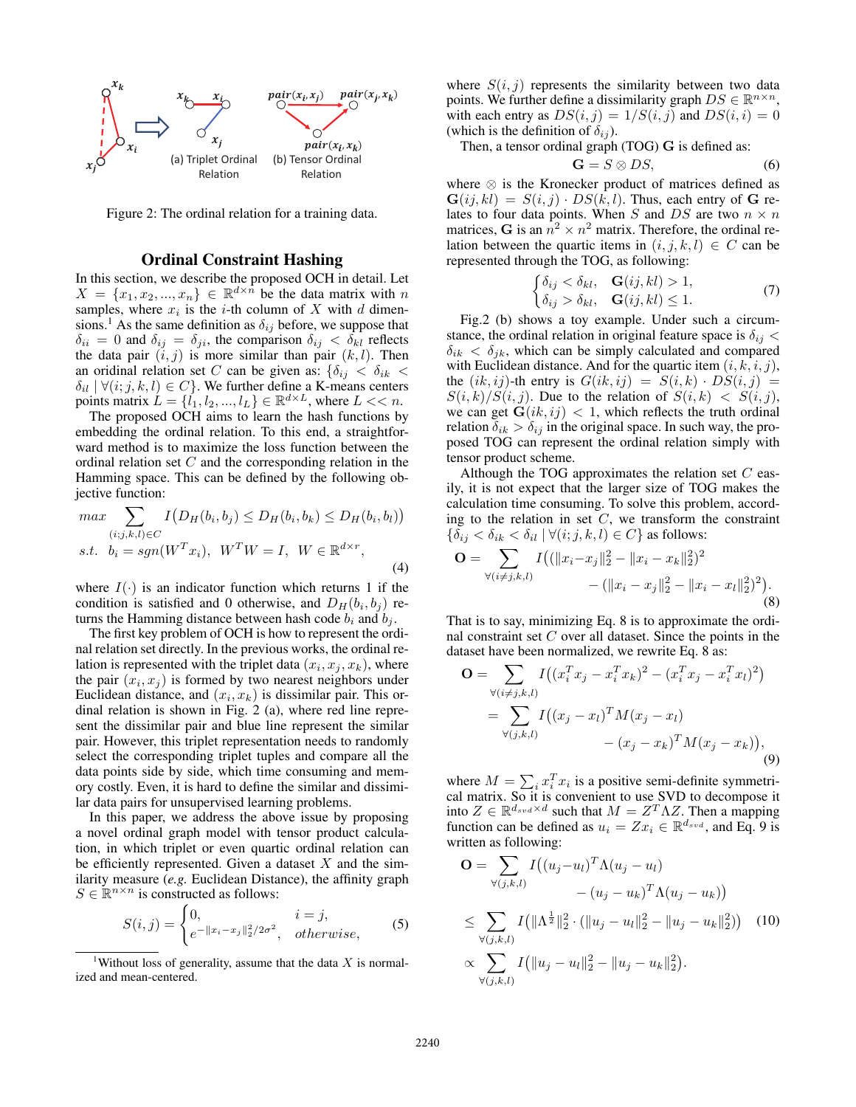

Figure 2: The ordinal relation for a training data.

## Ordinal Constraint Hashing

In this section, we describe the proposed OCH in detail. Let  $X = \{x_1, x_2, ..., x_n\} \in \mathbb{R}^{d \times n}$  be the data matrix with n samples, where  $x_i$  is the *i*-th column of X with d dimensions.<sup>1</sup> As the same definition as  $\delta_{ij}$  before, we suppose that  $\delta_{ii} = 0$  and  $\delta_{ij} = \delta_{ji}$ , the comparison  $\delta_{ij} < \delta_{kl}$  reflects the data pair  $(i, j)$  is more similar than pair  $(k, l)$ . Then an oridinal relation set C can be given as:  $\{\delta_{ij} \leq \delta_{ik} \leq \delta_{ik}\}$  $\delta_{il} | \forall (i; j, k, l) \in C$ . We further define a K-means centers points matrix  $L = \{l_1, l_2, ..., l_L\} \in \mathbb{R}^{d \times L}$ , where  $L \ll n$ .

The proposed OCH aims to learn the hash functions by embedding the ordinal relation. To this end, a straightforward method is to maximize the loss function between the ordinal relation set  $C$  and the corresponding relation in the Hamming space. This can be defined by the following objective function:

$$
\max \sum_{(i;j,k,l)\in C} I(D_H(b_i,b_j) \le D_H(b_i,b_k) \le D_H(b_i,b_l))
$$
  
s.t.  $b_i = sgn(W^T x_i)$ ,  $W^T W = I$ ,  $W \in \mathbb{R}^{d \times r}$ , (4)

where  $I(\cdot)$  is an indicator function which returns 1 if the condition is satisfied and 0 otherwise, and  $D_H(b_i, b_j)$  returns the Hamming distance between hash code  $b_i$  and  $b_j$ .

The first key problem of OCH is how to represent the ordinal relation set directly. In the previous works, the ordinal relation is represented with the triplet data  $(x_i, x_j, x_k)$ , where the pair  $(x_i, x_j)$  is formed by two nearest neighbors under Euclidean distance, and  $(x_i, x_k)$  is dissimilar pair. This ordinal relation is shown in Fig. 2 (a), where red line represent the dissimilar pair and blue line represent the similar pair. However, this triplet representation needs to randomly select the corresponding triplet tuples and compare all the data points side by side, which time consuming and memory costly. Even, it is hard to define the similar and dissimilar data pairs for unsupervised learning problems.

In this paper, we address the above issue by proposing a novel ordinal graph model with tensor product calculation, in which triplet or even quartic ordinal relation can be efficiently represented. Given a dataset  $X$  and the similarity measure (*e.g.* Euclidean Distance), the affinity graph  $S \in \mathbb{R}^{n \times n}$  is constructed as follows:

$$
S(i,j) = \begin{cases} 0, & i = j, \\ e^{-\|x_i - x_j\|_2^2/2\sigma^2}, & otherwise, \end{cases}
$$
 (5)

where  $S(i, j)$  represents the similarity between two data points. We further define a dissimilarity graph  $DS \in \mathbb{R}^{n \times n}$ , with each entry as  $DS(i, j) = 1/S(i, j)$  and  $DS(i, i) = 0$ (which is the definition of  $\delta_{ij}$ ).

Then, a tensor ordinal graph (TOG) **G** is defined as:

$$
\mathbf{G} = S \otimes DS,\tag{6}
$$

where ⊗ is the Kronecker product of matrices defined as  $\mathbf{G}(ij, kl) = S(i, j) \cdot DS(k, l)$ . Thus, each entry of G relates to four data points. When S and DS are two  $n \times n$ matrices, **G** is an  $n^2 \times n^2$  matrix. Therefore, the ordinal relation between the quartic items in  $(i, j, k, l) \in C$  can be represented through the TOG, as following:

$$
\begin{cases} \delta_{ij} < \delta_{kl}, \quad \mathbf{G}(ij, kl) > 1, \\ \delta_{ij} > \delta_{kl}, \quad \mathbf{G}(ij, kl) \le 1. \end{cases} \tag{7}
$$

Fig.2 (b) shows a toy example. Under such a circumstance, the ordinal relation in original feature space is  $\delta_{ij}$  <  $\delta_{ik} < \delta_{jk}$ , which can be simply calculated and compared with Euclidean distance. And for the quartic item  $(i, k, i, j)$ , the  $(ik, ij)$ -th entry is  $G(ik, ij) = S(i, k) \cdot DS(i, j) =$  $S(i,k)/S(i,j)$ . Due to the relation of  $S(i,k) < S(i,j)$ , we can get  $\mathbf{G}(ik, ij) < 1$ , which reflects the truth ordinal relation  $\delta_{ik} > \delta_{ij}$  in the original space. In such way, the proposed TOG can represent the ordinal relation simply with tensor product scheme.

Although the TOG approximates the relation set  $C$  easily, it is not expect that the larger size of TOG makes the calculation time consuming. To solve this problem, according to the relation in set  $C$ , we transform the constraint  $\{\delta_{ij} < \delta_{ik} < \delta_{il} \mid \forall (i; j, k, l) \in C\}$  as follows:

$$
\mathbf{O} = \sum_{\forall (i \neq j, k, l)} I\big( (\|x_i - x_j\|_2^2 - \|x_i - x_k\|_2^2)^2 - (\|x_i - x_j\|_2^2 - \|x_i - x_l\|_2^2)^2 \big). \tag{8}
$$

That is to say, minimizing Eq. 8 is to approximate the ordinal constraint set  $C$  over all dataset. Since the points in the dataset have been normalized, we rewrite Eq. 8 as:

$$
\mathbf{O} = \sum_{\forall (i \neq j, k, l)} I\big((x_i^T x_j - x_i^T x_k)^2 - (x_i^T x_j - x_i^T x_l)^2\big) \n= \sum_{\forall (j, k, l)} I\big((x_j - x_l)^T M (x_j - x_l) - (x_j - x_k)^T M (x_j - x_k)\big),
$$
\n(9)

where  $M = \sum_i x_i^T x_i$  is a positive semi-definite symmetrical matrix. So it is convenient to use SVD to decompose it into  $Z \in \mathbb{R}^{d_{svd} \times d}$  such that  $M = Z^T \Lambda Z$ . Then a mapping function can be defined as  $u_i = Zx_i \in \mathbb{R}^{d_{svd}}$ , and Eq. 9 is written as following:

$$
\mathbf{O} = \sum_{\forall (j,k,l)} I((u_j - u_l)^T \Lambda(u_j - u_l) - (u_j - u_k)^T \Lambda(u_j - u_k))
$$
  

$$
\leq \sum_{\forall (j,k,l)} I(||\Lambda^{\frac{1}{2}}||_2^2 \cdot (||u_j - u_l||_2^2 - ||u_j - u_k||_2^2))
$$
(10)  

$$
\propto \sum_{\forall (j,k,l)} I(||u_j - u_l||_2^2 - ||u_j - u_k||_2^2).
$$

<sup>&</sup>lt;sup>1</sup>Without loss of generality, assume that the data  $X$  is normalized and mean-centered.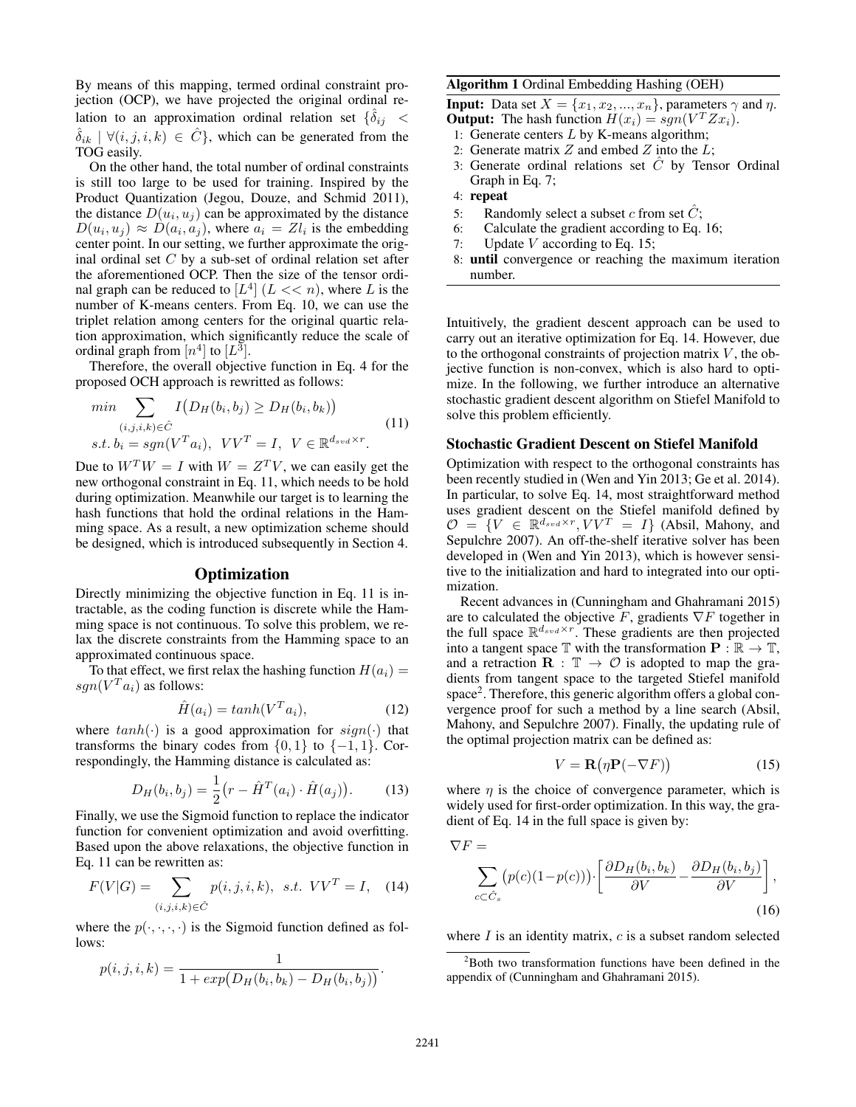By means of this mapping, termed ordinal constraint projection (OCP), we have projected the original ordinal relation to an approximation ordinal relation set  $\{\delta_{ij}$  <  $\delta_{ik}$   $\forall (i, j, i, k) \in \hat{C}$ , which can be generated from the TOG easily.

On the other hand, the total number of ordinal constraints is still too large to be used for training. Inspired by the Product Quantization (Jegou, Douze, and Schmid 2011), the distance  $D(u_i, u_j)$  can be approximated by the distance  $D(u_i, u_j) \approx D(a_i, a_j)$ , where  $a_i = Zl_i$  is the embedding center point. In our setting, we further approximate the original ordinal set  $C$  by a sub-set of ordinal relation set after the aforementioned OCP. Then the size of the tensor ordinal graph can be reduced to  $[L^4]$   $(L \ll n)$ , where L is the number of K-means centers. From Eq. 10, we can use the triplet relation among centers for the original quartic relation approximation, which significantly reduce the scale of ordinal graph from  $[n^4]$  to  $[L^3]$ .

Therefore, the overall objective function in Eq. 4 for the proposed OCH approach is rewritted as follows:

$$
\min \sum_{(i,j,i,k)\in\hat{C}} I(D_H(b_i,b_j) \ge D_H(b_i,b_k))
$$
\n
$$
s.t. b_i = sgn(V^T a_i), \quad VV^T = I, \quad V \in \mathbb{R}^{d_{svd} \times r}.
$$
\n
$$
(11)
$$

Due to  $W^T W = I$  with  $W = Z^T V$ , we can easily get the new orthogonal constraint in Eq. 11, which needs to be hold during optimization. Meanwhile our target is to learning the hash functions that hold the ordinal relations in the Hamming space. As a result, a new optimization scheme should be designed, which is introduced subsequently in Section 4.

## **Optimization**

Directly minimizing the objective function in Eq. 11 is intractable, as the coding function is discrete while the Hamming space is not continuous. To solve this problem, we relax the discrete constraints from the Hamming space to an approximated continuous space.

To that effect, we first relax the hashing function  $H(a_i) =$  $sgn(V^T a_i)$  as follows:

$$
\hat{H}(a_i) = \tanh(V^T a_i),\tag{12}
$$

where  $tanh(\cdot)$  is a good approximation for  $sign(\cdot)$  that transforms the binary codes from  $\{0, 1\}$  to  $\{-1, 1\}$ . Correspondingly, the Hamming distance is calculated as:

$$
D_H(b_i, b_j) = \frac{1}{2} (r - \hat{H}^T(a_i) \cdot \hat{H}(a_j)).
$$
 (13)

Finally, we use the Sigmoid function to replace the indicator function for convenient optimization and avoid overfitting. Based upon the above relaxations, the objective function in Eq. 11 can be rewritten as:

$$
F(V|G) = \sum_{(i,j,i,k) \in \hat{C}} p(i,j,i,k), \ \ s.t. \ \ VV^T = I, \ \ (14)
$$

where the  $p(\cdot, \cdot, \cdot)$  is the Sigmoid function defined as follows:

$$
p(i, j, i, k) = \frac{1}{1 + exp(D_H(b_i, b_k) - D_H(b_i, b_j))}.
$$

#### Algorithm 1 Ordinal Embedding Hashing (OEH)

**Input:** Data set  $X = \{x_1, x_2, ..., x_n\}$ , parameters  $\gamma$  and  $\eta$ . **Output:** The hash function  $H(x_i) = sgn(V^T Z x_i)$ .

- 1: Generate centers  $L$  by K-means algorithm;
- 2: Generate matrix  $Z$  and embed  $Z$  into the  $L$ ;
- 3: Generate ordinal relations set  $\ddot{C}$  by Tensor Ordinal Graph in Eq. 7;
- 4: repeat
- 5: Randomly select a subset c from set  $\ddot{C}$ ;
- 6: Calculate the gradient according to Eq. 16;
- 7: Update  $V$  according to Eq. 15;
- 8: until convergence or reaching the maximum iteration number.

Intuitively, the gradient descent approach can be used to carry out an iterative optimization for Eq. 14. However, due to the orthogonal constraints of projection matrix  $V$ , the objective function is non-convex, which is also hard to optimize. In the following, we further introduce an alternative stochastic gradient descent algorithm on Stiefel Manifold to solve this problem efficiently.

#### Stochastic Gradient Descent on Stiefel Manifold

Optimization with respect to the orthogonal constraints has been recently studied in (Wen and Yin 2013; Ge et al. 2014). In particular, to solve Eq. 14, most straightforward method uses gradient descent on the Stiefel manifold defined by  $\mathcal{O} = \{V \in \mathbb{R}^{d_{svd} \times r}, VV^T = I\}$  (Absil, Mahony, and Sepulchre 2007). An off-the-shelf iterative solver has been developed in (Wen and Yin 2013), which is however sensitive to the initialization and hard to integrated into our optimization.

Recent advances in (Cunningham and Ghahramani 2015) are to calculated the objective F, gradients  $\nabla F$  together in the full space  $\mathbb{R}^{d_{svd} \times r}$ . These gradients are then projected into a tangent space  $\mathbb{T}$  with the transformation  $\mathbf{P} : \mathbb{R} \to \mathbb{T}$ , and a retraction  $\mathbf{R} : \mathbb{T} \to \mathcal{O}$  is adopted to map the gradients from tangent space to the targeted Stiefel manifold space<sup>2</sup>. Therefore, this generic algorithm offers a global convergence proof for such a method by a line search (Absil, Mahony, and Sepulchre 2007). Finally, the updating rule of the optimal projection matrix can be defined as:

$$
V = \mathbf{R}(\eta \mathbf{P}(-\nabla F))
$$
 (15)

where  $\eta$  is the choice of convergence parameter, which is widely used for first-order optimization. In this way, the gradient of Eq. 14 in the full space is given by:

$$
\nabla F = \sum_{c \subset \hat{C}_s} (p(c)(1 - p(c))) \cdot \left[ \frac{\partial D_H(b_i, b_k)}{\partial V} - \frac{\partial D_H(b_i, b_j)}{\partial V} \right],
$$
\n(16)

where  $I$  is an identity matrix,  $c$  is a subset random selected

<sup>&</sup>lt;sup>2</sup>Both two transformation functions have been defined in the appendix of (Cunningham and Ghahramani 2015).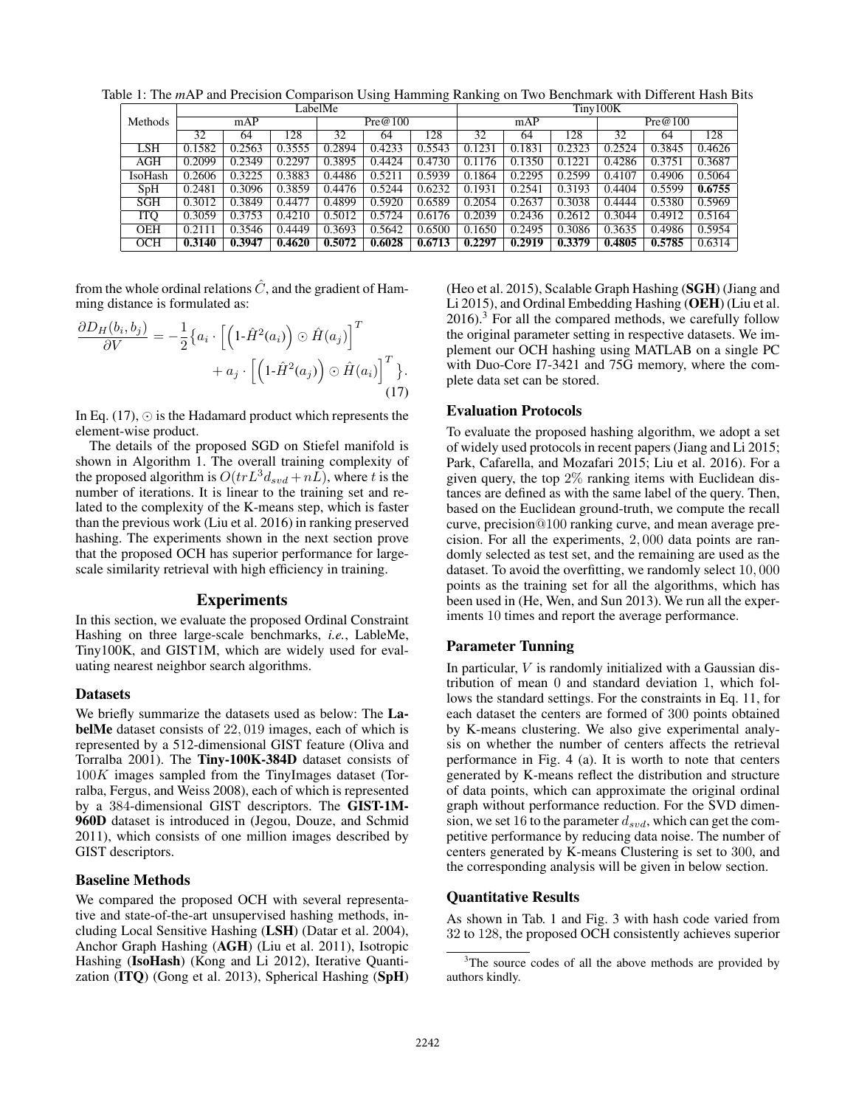|            | LabelMe |        |        |         |        |        | Tiny100K |        |        |         |        |        |
|------------|---------|--------|--------|---------|--------|--------|----------|--------|--------|---------|--------|--------|
| Methods    | mAP     |        |        | Pre@100 |        |        | mAP      |        |        | Pre@100 |        |        |
|            | 32      | 64     | 128    | 32      | 64     | 128    | 32       | 64     | 128    | 32      | 64     | 128    |
| LSH        | 0.1582  | 0.2563 | 0.3555 | 0.2894  | 0.4233 | 0.5543 | 0.1231   | 0.1831 | 0.2323 | 0.2524  | 0.3845 | 0.4626 |
| AGH        | 0.2099  | 0.2349 | 0.2297 | 0.3895  | 0.4424 | 0.4730 | 0.1176   | 0.1350 | 0.1221 | 0.4286  | 0.3751 | 0.3687 |
| IsoHash    | 0.2606  | 0.3225 | 0.3883 | 0.4486  | 0.5211 | 0.5939 | 0.1864   | 0.2295 | 0.2599 | 0.4107  | 0.4906 | 0.5064 |
| SpH        | 0.2481  | 0.3096 | 0.3859 | 0.4476  | 0.5244 | 0.6232 | 0.1931   | 0.2541 | 0.3193 | 0.4404  | 0.5599 | 0.6755 |
| <b>SGH</b> | 0.3012  | 0.3849 | 0.4477 | 0.4899  | 0.5920 | 0.6589 | 0.2054   | 0.2637 | 0.3038 | 0.4444  | 0.5380 | 0.5969 |
| <b>ITQ</b> | 0.3059  | 0.3753 | 0.4210 | 0.5012  | 0.5724 | 0.6176 | 0.2039   | 0.2436 | 0.2612 | 0.3044  | 0.4912 | 0.5164 |
| <b>OEH</b> | 0.2111  | 0.3546 | 0.4449 | 0.3693  | 0.5642 | 0.6500 | 0.1650   | 0.2495 | 0.3086 | 0.3635  | 0.4986 | 0.5954 |
| OCH        | 0.3140  | 0.3947 | 0.4620 | 0.5072  | 0.6028 | 0.6713 | 0.2297   | 0.2919 | 0.3379 | 0.4805  | 0.5785 | 0.6314 |

Table 1: The *m*AP and Precision Comparison Using Hamming Ranking on Two Benchmark with Different Hash Bits

from the whole ordinal relations  $\hat{C}$ , and the gradient of Hamming distance is formulated as:

$$
\frac{\partial D_H(b_i, b_j)}{\partial V} = -\frac{1}{2} \{ a_i \cdot \left[ \left( 1 \cdot \hat{H}^2(a_i) \right) \odot \hat{H}(a_j) \right]^T + a_j \cdot \left[ \left( 1 \cdot \hat{H}^2(a_j) \right) \odot \hat{H}(a_i) \right]^T \}.
$$
\n(17)

In Eq.  $(17)$ ,  $\odot$  is the Hadamard product which represents the element-wise product.

The details of the proposed SGD on Stiefel manifold is shown in Algorithm 1. The overall training complexity of the proposed algorithm is  $O(trL^3d_{svd} + nL)$ , where t is the number of iterations. It is linear to the training set and related to the complexity of the K-means step, which is faster than the previous work (Liu et al. 2016) in ranking preserved hashing. The experiments shown in the next section prove that the proposed OCH has superior performance for largescale similarity retrieval with high efficiency in training.

## Experiments

In this section, we evaluate the proposed Ordinal Constraint Hashing on three large-scale benchmarks, *i.e.*, LableMe, Tiny100K, and GIST1M, which are widely used for evaluating nearest neighbor search algorithms.

#### Datasets

We briefly summarize the datasets used as below: The LabelMe dataset consists of 22, 019 images, each of which is represented by a 512-dimensional GIST feature (Oliva and Torralba 2001). The Tiny-100K-384D dataset consists of 100K images sampled from the TinyImages dataset (Torralba, Fergus, and Weiss 2008), each of which is represented by a 384-dimensional GIST descriptors. The GIST-1M-960D dataset is introduced in (Jegou, Douze, and Schmid 2011), which consists of one million images described by GIST descriptors.

#### Baseline Methods

We compared the proposed OCH with several representative and state-of-the-art unsupervised hashing methods, including Local Sensitive Hashing (LSH) (Datar et al. 2004), Anchor Graph Hashing (AGH) (Liu et al. 2011), Isotropic Hashing (IsoHash) (Kong and Li 2012), Iterative Quantization (ITQ) (Gong et al. 2013), Spherical Hashing (SpH)

(Heo et al. 2015), Scalable Graph Hashing (SGH) (Jiang and Li 2015), and Ordinal Embedding Hashing (OEH) (Liu et al.  $2016$ .<sup>3</sup> For all the compared methods, we carefully follow the original parameter setting in respective datasets. We implement our OCH hashing using MATLAB on a single PC with Duo-Core I7-3421 and 75G memory, where the complete data set can be stored.

#### Evaluation Protocols

To evaluate the proposed hashing algorithm, we adopt a set of widely used protocols in recent papers (Jiang and Li 2015; Park, Cafarella, and Mozafari 2015; Liu et al. 2016). For a given query, the top 2% ranking items with Euclidean distances are defined as with the same label of the query. Then, based on the Euclidean ground-truth, we compute the recall curve, precision@100 ranking curve, and mean average precision. For all the experiments, 2, 000 data points are randomly selected as test set, and the remaining are used as the dataset. To avoid the overfitting, we randomly select 10, 000 points as the training set for all the algorithms, which has been used in (He, Wen, and Sun 2013). We run all the experiments 10 times and report the average performance.

#### Parameter Tunning

In particular,  $V$  is randomly initialized with a Gaussian distribution of mean 0 and standard deviation 1, which follows the standard settings. For the constraints in Eq. 11, for each dataset the centers are formed of 300 points obtained by K-means clustering. We also give experimental analysis on whether the number of centers affects the retrieval performance in Fig. 4 (a). It is worth to note that centers generated by K-means reflect the distribution and structure of data points, which can approximate the original ordinal graph without performance reduction. For the SVD dimension, we set 16 to the parameter  $d_{svd}$ , which can get the competitive performance by reducing data noise. The number of centers generated by K-means Clustering is set to 300, and the corresponding analysis will be given in below section.

# Quantitative Results

As shown in Tab. 1 and Fig. 3 with hash code varied from 32 to 128, the proposed OCH consistently achieves superior

<sup>&</sup>lt;sup>3</sup>The source codes of all the above methods are provided by authors kindly.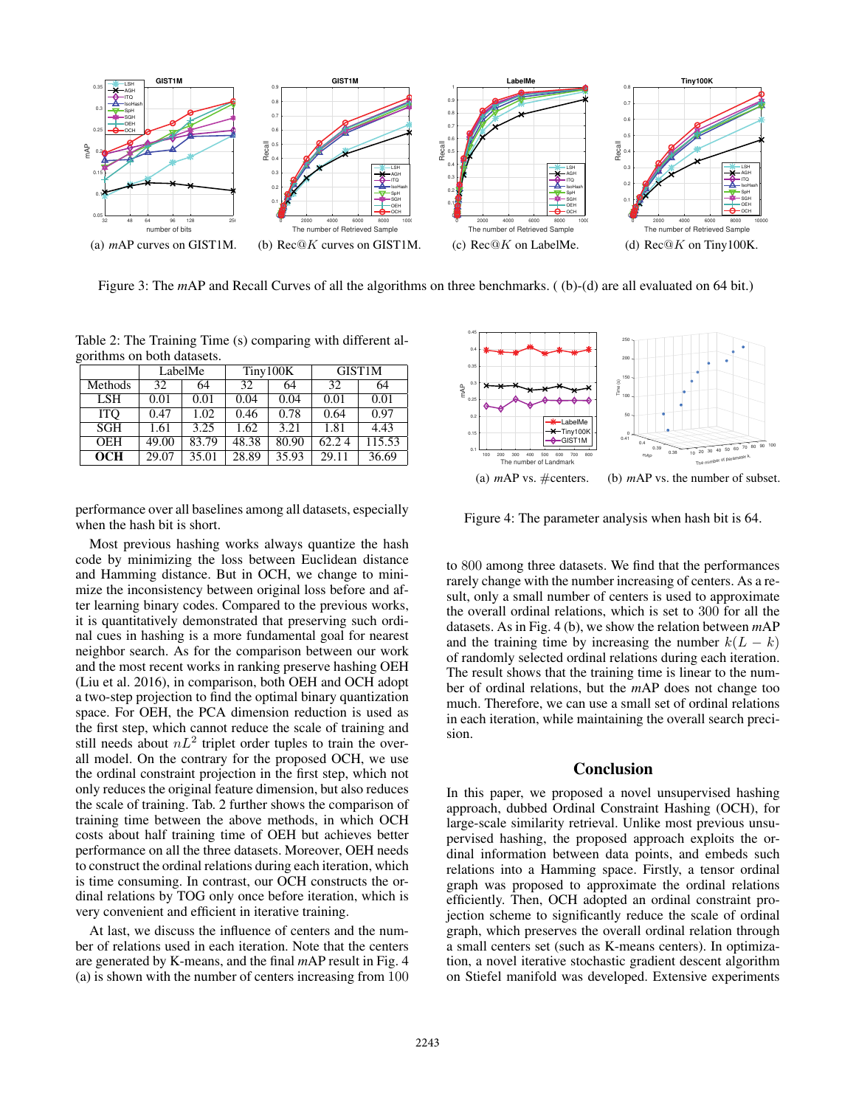

Figure 3: The *m*AP and Recall Curves of all the algorithms on three benchmarks. ((b)-(d) are all evaluated on 64 bit.)

Table 2: The Training Time (s) comparing with different algorithms on both datasets.

|            |       | LabelMe |       | Tiny100K | GIST <sub>1</sub> M |        |  |
|------------|-------|---------|-------|----------|---------------------|--------|--|
| Methods    | 32    | 64      | 32    | 64       | 32                  | 64     |  |
| <b>LSH</b> | 0.01  | 0.01    | 0.04  | 0.04     | 0.01                | 0.01   |  |
| <b>ITO</b> | 0.47  | 1.02    | 0.46  | 0.78     | 0.64                | 0.97   |  |
| <b>SGH</b> | 1.61  | 3.25    | 1.62  | 3.21     | 1.81                | 4.43   |  |
| <b>OEH</b> | 49.00 | 83.79   | 48.38 | 80.90    | 62.24               | 115.53 |  |
| <b>OCH</b> | 29.07 | 35.01   | 28.89 | 35.93    | 29.11               | 36.69  |  |

performance over all baselines among all datasets, especially when the hash bit is short.

Most previous hashing works always quantize the hash code by minimizing the loss between Euclidean distance and Hamming distance. But in OCH, we change to minimize the inconsistency between original loss before and after learning binary codes. Compared to the previous works, it is quantitatively demonstrated that preserving such ordinal cues in hashing is a more fundamental goal for nearest neighbor search. As for the comparison between our work and the most recent works in ranking preserve hashing OEH (Liu et al. 2016), in comparison, both OEH and OCH adopt a two-step projection to find the optimal binary quantization space. For OEH, the PCA dimension reduction is used as the first step, which cannot reduce the scale of training and still needs about  $nL^2$  triplet order tuples to train the overall model. On the contrary for the proposed OCH, we use the ordinal constraint projection in the first step, which not only reduces the original feature dimension, but also reduces the scale of training. Tab. 2 further shows the comparison of training time between the above methods, in which OCH costs about half training time of OEH but achieves better performance on all the three datasets. Moreover, OEH needs to construct the ordinal relations during each iteration, which is time consuming. In contrast, our OCH constructs the ordinal relations by TOG only once before iteration, which is very convenient and efficient in iterative training.

At last, we discuss the influence of centers and the number of relations used in each iteration. Note that the centers are generated by K-means, and the final *m*AP result in Fig. 4 (a) is shown with the number of centers increasing from 100

The number of Landmark 100 200 300 400 500 600 700 800 mAP 0.1 0.15 0.2 0.25 0.3 0.35 0.4 0.45 LabelMe Tiny100K GIST1M (a) *m*AP vs. #centers. 80 90 100 The number of parameter k.  $0.38$  10 20 30 40 50 60 70 0.39 mAP 0.4 200 250 100 50 150 0.41 Time (s) (b) *m*AP vs. the number of subset.

Figure 4: The parameter analysis when hash bit is 64.

to 800 among three datasets. We find that the performances rarely change with the number increasing of centers. As a result, only a small number of centers is used to approximate the overall ordinal relations, which is set to 300 for all the datasets. As in Fig. 4 (b), we show the relation between *m*AP and the training time by increasing the number  $k(L - k)$ of randomly selected ordinal relations during each iteration. The result shows that the training time is linear to the number of ordinal relations, but the *m*AP does not change too much. Therefore, we can use a small set of ordinal relations in each iteration, while maintaining the overall search precision.

## Conclusion

In this paper, we proposed a novel unsupervised hashing approach, dubbed Ordinal Constraint Hashing (OCH), for large-scale similarity retrieval. Unlike most previous unsupervised hashing, the proposed approach exploits the ordinal information between data points, and embeds such relations into a Hamming space. Firstly, a tensor ordinal graph was proposed to approximate the ordinal relations efficiently. Then, OCH adopted an ordinal constraint projection scheme to significantly reduce the scale of ordinal graph, which preserves the overall ordinal relation through a small centers set (such as K-means centers). In optimization, a novel iterative stochastic gradient descent algorithm on Stiefel manifold was developed. Extensive experiments